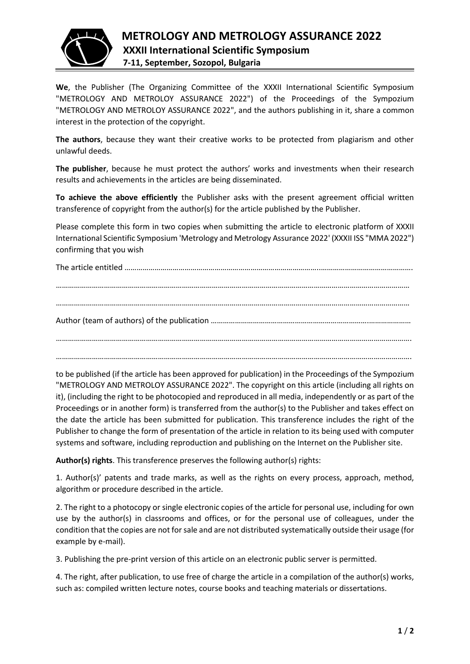

**We**, the Publisher (The Organizing Committee of the XXXII International Scientific Symposium "METROLOGY AND METROLOY ASSURANCE 2022") of the Proceedings of the Sympozium "METROLOGY AND METROLOY ASSURANCE 2022", and the authors publishing in it, share a common interest in the protection of the copyright.

**The authors**, because they want their creative works to be protected from plagiarism and other unlawful deeds.

**The publisher**, because he must protect the authors' works and investments when their research results and achievements in the articles are being disseminated.

**To achieve the above efficiently** the Publisher asks with the present agreement official written transference of copyright from the author(s) for the article published by the Publisher.

Please complete this form in two copies when submitting the article to electronic platform of XXXII International Scientific Symposium 'Metrology and Metrology Assurance 2022' (XXXII ISS "MMA 2022") confirming that you wish

The article entitled ……………………………………………………………………………………..……………………………………….

…………………………………………………………………………………………………………………………………………………………… …………………………………………………………………………………………………………………………………………………………… Author (team of authors) of the publication …………………………………………………………………….………………… …………………………………………………………………………………………………………………………………………………………….

…………………………………………………………………………………………………………………………………………………………….

to be published (if the article has been approved for publication) in the Proceedings of the Sympozium "METROLOGY AND METROLOY ASSURANCE 2022". The copyright on this article (including all rights on it), (including the right to be photocopied and reproduced in all media, independently or as part of the Proceedings or in another form) is transferred from the author(s) to the Publisher and takes effect on the date the article has been submitted for publication. This transference includes the right of the Publisher to change the form of presentation of the article in relation to its being used with computer systems and software, including reproduction and publishing on the Internet on the Publisher site.

**Author(s) rights**. This transference preserves the following author(s) rights:

1. Author(s)' patents and trade marks, as well as the rights on every process, approach, method, algorithm or procedure described in the article.

2. The right to a photocopy or single electronic copies of the article for personal use, including for own use by the author(s) in classrooms and offices, or for the personal use of colleagues, under the condition that the copies are not for sale and are not distributed systematically outside their usage (for example by e-mail).

3. Publishing the pre-print version of this article on an electronic public server is permitted.

4. The right, after publication, to use free of charge the article in a compilation of the author(s) works, such as: compiled written lecture notes, course books and teaching materials or dissertations.